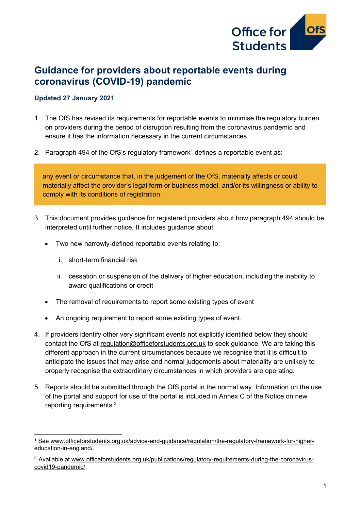

# **Guidance for providers about reportable events during coronavirus (COVID-19) pandemic**

#### **Updated 27 January 2021**

- 1. The OfS has revised its requirements for reportable events to minimise the regulatory burden on providers during the period of disruption resulting from the coronavirus pandemic and ensure it has the information necessary in the current circumstances.
- 2. Paragraph 494 of the OfS's regulatory framework<sup>1</sup> defines a reportable event as:

any event or circumstance that, in the judgement of the OfS, materially affects or could materially affect the provider's legal form or business model, and/or its willingness or ability to comply with its conditions of registration.

- 3. This document provides guidance for registered providers about how paragraph 494 should be interpreted until further notice. It includes guidance about:
	- Two new narrowly-defined reportable events relating to:
		- i. short-term financial risk
		- ii. cessation or suspension of the delivery of higher education, including the inability to award qualifications or credit
	- The removal of requirements to report some existing types of event
	- An ongoing requirement to report some existing types of event.
- 4. If providers identify other very significant events not explicitly identified below they should contact the OfS at [regulation@officeforstudents.org.uk](mailto:regulation@officeforstudents.org.uk) to seek guidance. We are taking this different approach in the current circumstances because we recognise that it is difficult to anticipate the issues that may arise and normal judgements about materiality are unlikely to properly recognise the extraordinary circumstances in which providers are operating.
- 5. Reports should be submitted through the OfS portal in the normal way. Information on the use of the portal and support for use of the portal is included in Annex C of the Notice on new reporting requirements. 2

<sup>1</sup> See [www.officeforstudents.org.uk/advice-and-guidance/regulation/the-regulatory-framework-for-higher](https://www.officeforstudents.org.uk/advice-and-guidance/regulation/the-regulatory-framework-for-higher-education-in-england/)[education-in-england/.](https://www.officeforstudents.org.uk/advice-and-guidance/regulation/the-regulatory-framework-for-higher-education-in-england/)

<sup>&</sup>lt;sup>2</sup> Available at [www.officeforstudents.org.uk/publications/regulatory-requirements-during-the-coronavirus](https://www.officeforstudents.org.uk/publications/regulatory-requirements-during-the-coronavirus-covid19-pandemic/)[covid19-pandemic/.](https://www.officeforstudents.org.uk/publications/regulatory-requirements-during-the-coronavirus-covid19-pandemic/)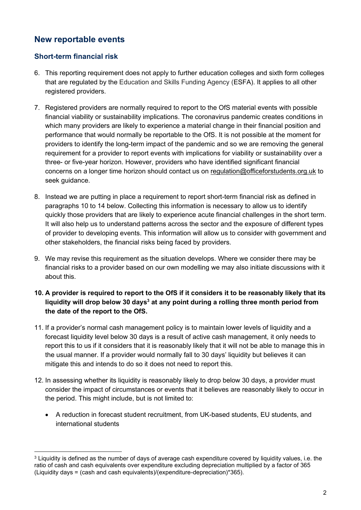### **New reportable events**

#### **Short-term financial risk**

- 6. This reporting requirement does not apply to further education colleges and sixth form colleges that are regulated by the Education and Skills Funding Agency (ESFA). It applies to all other registered providers.
- 7. Registered providers are normally required to report to the OfS material events with possible financial viability or sustainability implications. The coronavirus pandemic creates conditions in which many providers are likely to experience a material change in their financial position and performance that would normally be reportable to the OfS. It is not possible at the moment for providers to identify the long-term impact of the pandemic and so we are removing the general requirement for a provider to report events with implications for viability or sustainability over a three- or five-year horizon. However, providers who have identified significant financial concerns on a longer time horizon should contact us on [regulation@officeforstudents.org.uk](mailto:regulation@officeforstudents.org.uk) to seek guidance.
- 8. Instead we are putting in place a requirement to report short-term financial risk as defined in paragraphs 10 to 14 below. Collecting this information is necessary to allow us to identify quickly those providers that are likely to experience acute financial challenges in the short term. It will also help us to understand patterns across the sector and the exposure of different types of provider to developing events. This information will allow us to consider with government and other stakeholders, the financial risks being faced by providers.
- 9. We may revise this requirement as the situation develops. Where we consider there may be financial risks to a provider based on our own modelling we may also initiate discussions with it about this.
- **10. A provider is required to report to the OfS if it considers it to be reasonably likely that its liquidity will drop below 30 days<sup>3</sup> at any point during a rolling three month period from the date of the report to the OfS.**
- 11. If a provider's normal cash management policy is to maintain lower levels of liquidity and a forecast liquidity level below 30 days is a result of active cash management, it only needs to report this to us if it considers that it is reasonably likely that it will not be able to manage this in the usual manner. If a provider would normally fall to 30 days' liquidity but believes it can mitigate this and intends to do so it does not need to report this.
- 12. In assessing whether its liquidity is reasonably likely to drop below 30 days, a provider must consider the impact of circumstances or events that it believes are reasonably likely to occur in the period. This might include, but is not limited to:
	- A reduction in forecast student recruitment, from UK-based students, EU students, and international students

<sup>&</sup>lt;sup>3</sup> Liquidity is defined as the number of days of average cash expenditure covered by liquidity values, i.e. the ratio of cash and cash equivalents over expenditure excluding depreciation multiplied by a factor of 365 (Liquidity days = (cash and cash equivalents)/(expenditure-depreciation)\*365).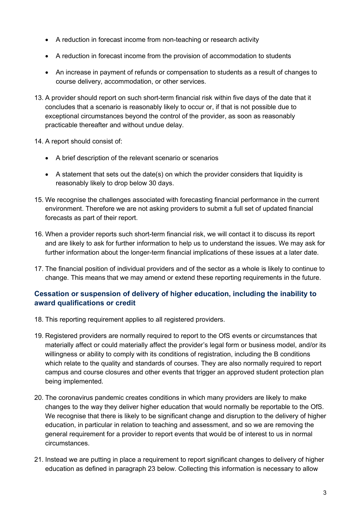- A reduction in forecast income from non-teaching or research activity
- A reduction in forecast income from the provision of accommodation to students
- An increase in payment of refunds or compensation to students as a result of changes to course delivery, accommodation, or other services.
- 13. A provider should report on such short-term financial risk within five days of the date that it concludes that a scenario is reasonably likely to occur or, if that is not possible due to exceptional circumstances beyond the control of the provider, as soon as reasonably practicable thereafter and without undue delay.
- 14. A report should consist of:
	- A brief description of the relevant scenario or scenarios
	- A statement that sets out the date(s) on which the provider considers that liquidity is reasonably likely to drop below 30 days.
- 15. We recognise the challenges associated with forecasting financial performance in the current environment. Therefore we are not asking providers to submit a full set of updated financial forecasts as part of their report.
- 16. When a provider reports such short-term financial risk, we will contact it to discuss its report and are likely to ask for further information to help us to understand the issues. We may ask for further information about the longer-term financial implications of these issues at a later date.
- 17. The financial position of individual providers and of the sector as a whole is likely to continue to change. This means that we may amend or extend these reporting requirements in the future.

### **Cessation or suspension of delivery of higher education, including the inability to award qualifications or credit**

- 18. This reporting requirement applies to all registered providers.
- 19. Registered providers are normally required to report to the OfS events or circumstances that materially affect or could materially affect the provider's legal form or business model, and/or its willingness or ability to comply with its conditions of registration, including the B conditions which relate to the quality and standards of courses. They are also normally required to report campus and course closures and other events that trigger an approved student protection plan being implemented.
- 20. The coronavirus pandemic creates conditions in which many providers are likely to make changes to the way they deliver higher education that would normally be reportable to the OfS. We recognise that there is likely to be significant change and disruption to the delivery of higher education, in particular in relation to teaching and assessment, and so we are removing the general requirement for a provider to report events that would be of interest to us in normal circumstances.
- 21. Instead we are putting in place a requirement to report significant changes to delivery of higher education as defined in paragraph 23 below. Collecting this information is necessary to allow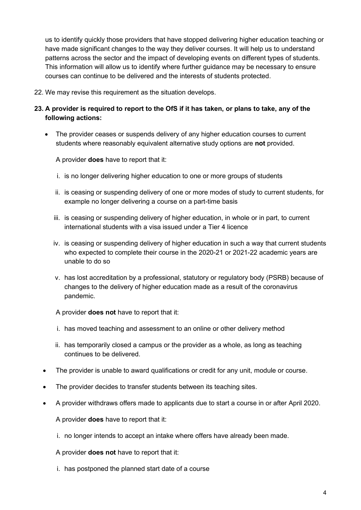us to identify quickly those providers that have stopped delivering higher education teaching or have made significant changes to the way they deliver courses. It will help us to understand patterns across the sector and the impact of developing events on different types of students. This information will allow us to identify where further guidance may be necessary to ensure courses can continue to be delivered and the interests of students protected.

- 22. We may revise this requirement as the situation develops.
- **23. A provider is required to report to the OfS if it has taken, or plans to take, any of the following actions:**
	- The provider ceases or suspends delivery of any higher education courses to current students where reasonably equivalent alternative study options are **not** provided.

A provider **does** have to report that it:

- i. is no longer delivering higher education to one or more groups of students
- ii. is ceasing or suspending delivery of one or more modes of study to current students, for example no longer delivering a course on a part-time basis
- iii. is ceasing or suspending delivery of higher education, in whole or in part, to current international students with a visa issued under a Tier 4 licence
- iv. is ceasing or suspending delivery of higher education in such a way that current students who expected to complete their course in the 2020-21 or 2021-22 academic years are unable to do so
- v. has lost accreditation by a professional, statutory or regulatory body (PSRB) because of changes to the delivery of higher education made as a result of the coronavirus pandemic.

A provider **does not** have to report that it:

- i. has moved teaching and assessment to an online or other delivery method
- ii. has temporarily closed a campus or the provider as a whole, as long as teaching continues to be delivered.
- The provider is unable to award qualifications or credit for any unit, module or course.
- The provider decides to transfer students between its teaching sites.
- A provider withdraws offers made to applicants due to start a course in or after April 2020.

A provider **does** have to report that it:

i. no longer intends to accept an intake where offers have already been made.

A provider **does not** have to report that it:

i. has postponed the planned start date of a course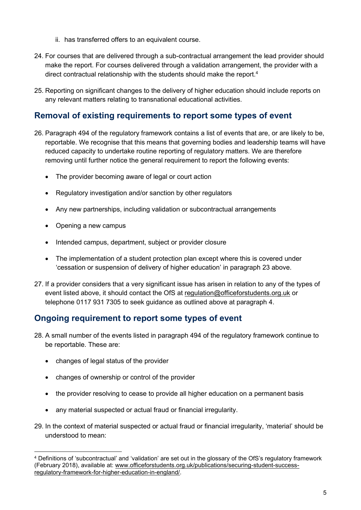- ii. has transferred offers to an equivalent course.
- 24. For courses that are delivered through a sub-contractual arrangement the lead provider should make the report. For courses delivered through a validation arrangement, the provider with a direct contractual relationship with the students should make the report.<sup>4</sup>
- 25. Reporting on significant changes to the delivery of higher education should include reports on any relevant matters relating to transnational educational activities.

### **Removal of existing requirements to report some types of event**

- 26. Paragraph 494 of the regulatory framework contains a list of events that are, or are likely to be, reportable. We recognise that this means that governing bodies and leadership teams will have reduced capacity to undertake routine reporting of regulatory matters. We are therefore removing until further notice the general requirement to report the following events:
	- The provider becoming aware of legal or court action
	- Regulatory investigation and/or sanction by other regulators
	- Any new partnerships, including validation or subcontractual arrangements
	- Opening a new campus
	- Intended campus, department, subject or provider closure
	- The implementation of a student protection plan except where this is covered under 'cessation or suspension of delivery of higher education' in paragraph 23 above.
- 27. If a provider considers that a very significant issue has arisen in relation to any of the types of event listed above, it should contact the OfS at [regulation@officeforstudents.org.uk](mailto:regulation@officeforstudents.org.uk) or telephone 0117 931 7305 to seek guidance as outlined above at paragraph 4.

## **Ongoing requirement to report some types of event**

- 28. A small number of the events listed in paragraph 494 of the regulatory framework continue to be reportable. These are:
	- changes of legal status of the provider
	- changes of ownership or control of the provider
	- the provider resolving to cease to provide all higher education on a permanent basis
	- any material suspected or actual fraud or financial irregularity.
- 29. In the context of material suspected or actual fraud or financial irregularity, 'material' should be understood to mean:

<sup>4</sup> Definitions of 'subcontractual' and 'validation' are set out in the glossary of the OfS's regulatory framework (February 2018), available at: [www.officeforstudents.org.uk/publications/securing-student-success](https://www.officeforstudents.org.uk/publications/securing-student-success-regulatory-framework-for-higher-education-in-england/)[regulatory-framework-for-higher-education-in-england/.](https://www.officeforstudents.org.uk/publications/securing-student-success-regulatory-framework-for-higher-education-in-england/)